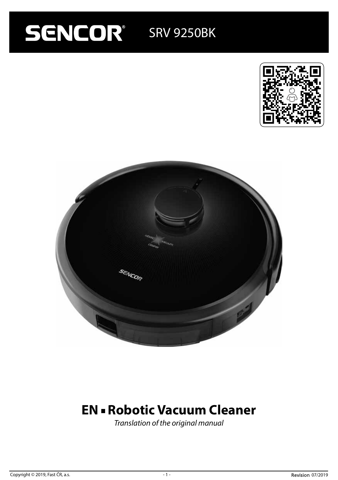# **SENCOR** SRV 9250BK





# **EN - Robotic Vacuum Cleaner**

*Translation of the original manual*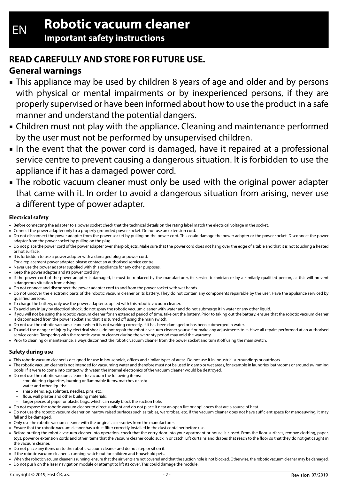# **READ CAREFULLY AND STORE FOR FUTURE USE.**

# **General warnings**

- This appliance may be used by children 8 years of age and older and by persons with physical or mental impairments or by inexperienced persons, if they are properly supervised or have been informed about how to use the product in a safe manner and understand the potential dangers.
- Children must not play with the appliance. Cleaning and maintenance performed by the user must not be performed by unsupervised children.
- In the event that the power cord is damaged, have it repaired at a professional service centre to prevent causing a dangerous situation. It is forbidden to use the appliance if it has a damaged power cord.
- The robotic vacuum cleaner must only be used with the original power adapter that came with it. In order to avoid a dangerous situation from arising, never use a different type of power adapter.

## **Electrical safety**

- Before connecting the adapter to a power socket check that the technical details on the rating label match the electrical voltage in the socket.
- Connect the power adapter only to a properly grounded power socket. Do not use an extension cord.
- Do not disconnect the power adapter from the power socket by pulling on the power cord. This could damage the power adapter or the power socket. Disconnect the power adapter from the power socket by pulling on the plug.
- Do not place the power cord of the power adapter over sharp objects. Make sure that the power cord does not hang over the edge of a table and that it is not touching a heated or hot surface.
- It is forbidden to use a power adapter with a damaged plug or power cord.
- For a replacement power adapter, please contact an authorised service centre
- Never use the power adapter supplied with this appliance for any other purposes.
- Keep the power adapter and its power cord dry.
- If the power cord of the power adapter is damaged, it must be replaced by the manufacturer, its service technician or by a similarly qualified person, as this will prevent a dangerous situation from arising.
- Do not connect and disconnect the power adapter cord to and from the power socket with wet hands.
- Do not uncover the electronic parts of the robotic vacuum cleaner or its battery. They do not contain any components repairable by the user. Have the appliance serviced by qualified persons.
- To charge the battery, only use the power adapter supplied with this robotic vacuum cleaner.
- To avoid any injury by electrical shock, do not spray the robotic vacuum cleaner with water and do not submerge it in water or any other liquid.
- If you will not be using the robotic vacuum cleaner for an extended period of time, take out the battery. Prior to taking out the battery, ensure that the robotic vacuum cleaner is disconnected from the power socket and that it is turned off using the main switch.
- Do not use the robotic vacuum cleaner when it is not working correctly, if it has been damaged or has been submerged in water.
- To avoid the danger of injury by electrical shock, do not repair the robotic vacuum cleaner yourself or make any adjustments to it. Have all repairs performed at an authorised service centre. Tampering with the robotic vacuum cleaner during the warranty period may void the warranty.
- Prior to cleaning or maintenance, always disconnect the robotic vacuum cleaner from the power socket and turn it off using the main switch.

## **Safety during use**

- This robotic vacuum cleaner is designed for use in households, offices and similar types of areas. Do not use it in industrial surroundings or outdoors.
- The robotic vacuum cleaner is not intended for vacuuming water and therefore must not be used in damp or wet areas, for example in laundries, bathrooms or around swimming pools. If it were to come into contact with water, the internal electronics of the vacuum cleaner would be destroyed.
- Do not use the robotic vacuum cleaner to vacuum the following items:
	- smouldering cigarettes, burning or flammable items, matches or ash;
	- water and other liquids;
	- sharp items, e.g. splinters, needles, pins, etc.;
		- flour, wall plaster and other building materials;
- larger pieces of paper or plastic bags, which can easily block the suction hole.
- Do not expose the robotic vacuum cleaner to direct sunlight and do not place it near an open fire or appliances that are a source of heat.
- Do not use the robotic vacuum cleaner on narrow raised surfaces such as tables, wardrobes, etc. If the vacuum cleaner does not have sufficient space for manoeuvring, it may fall and be damaged.
- Only use the robotic vacuum cleaner with the original accessories from the manufacturer.
- Ensure that the robotic vacuum cleaner has a dust filter correctly installed in the dust container before use.
- Before putting the robotic vacuum cleaner into operation, check that the entry door into your apartment or house is closed. From the floor surfaces, remove clothing, paper, toys, power or extension cords and other items that the vacuum cleaner could suck in or catch. Lift curtains and drapes that reach to the floor so that they do not get caught in the vacuum cleaner.
- Do not place any items on to the robotic vacuum cleaner and do not step or sit on it.
- If the robotic vacuum cleaner is running, watch out for children and household pets. ■ When the robotic vacuum cleaner is running, ensure that the air vents are not covered and that the suction hole is not blocked. Otherwise, the robotic vacuum cleaner may be damaged.
- Do not push on the laser navigation module or attempt to lift its cover. This could damage the module.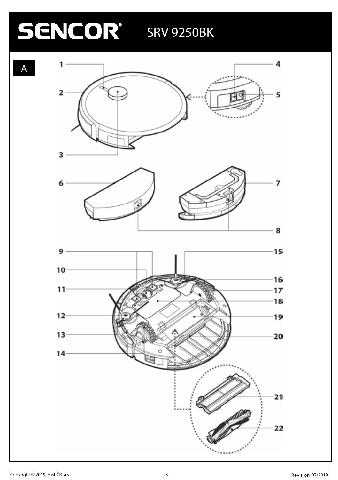# **SENCOR** SRV 9250BK



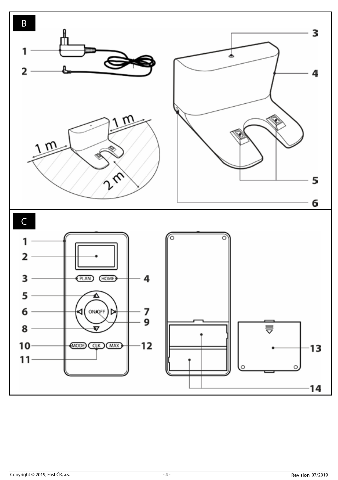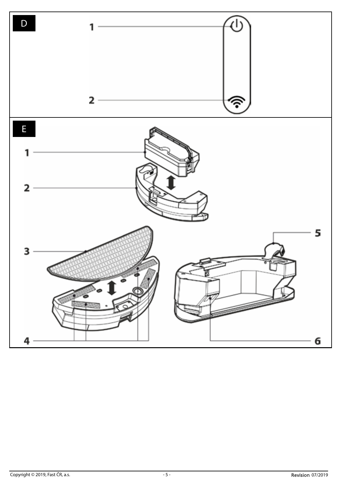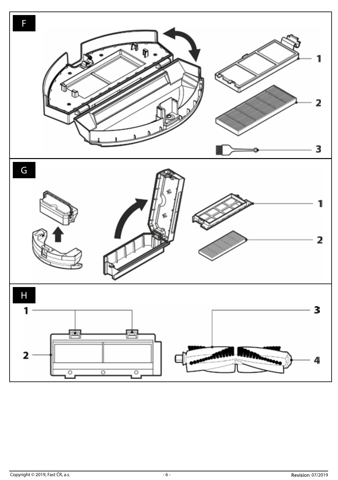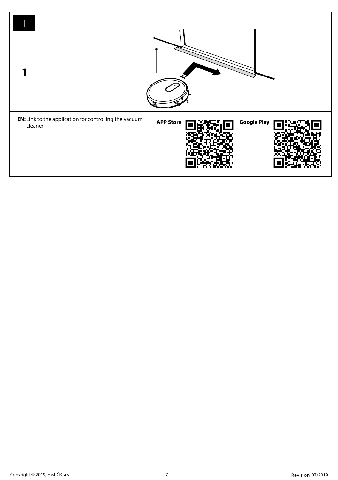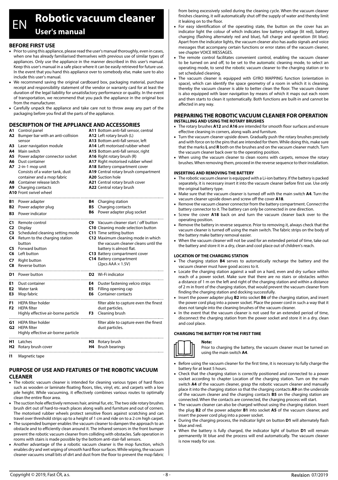# EN **Robotic vacuum cleaner**

**User's manual**

#### **BEFORE FIRST USE**

- Prior to using this appliance, please read the user's manual thoroughly, even in cases, when one has already familiarised themselves with previous use of similar types of appliances. Only use the appliance in the manner described in this user's manual. Keep this user's manual in a safe place where it can be easily retrieved for future use. In the event that you hand this appliance over to somebody else, make sure to also include this user's manual.
- We recommend saving the original cardboard box, packaging material, purchase receipt and responsibility statement of the vendor or warranty card for at least the duration of the legal liability for unsatisfactory performance or quality. In the event of transportation, we recommend that you pack the appliance in the original box from the manufacturer.
- Carefully unpack the appliance and take care not to throw away any part of the packaging before you find all the parts of the appliance.

#### **DESCRIPTION OF THE APPLIANCE AND ACCESSORIES**

| A1<br>A2<br>ΑЗ<br>Α4<br><b>A5</b><br>A8<br>A9            | Control panel<br>Bumper bar with an anti-collision<br>sensor<br>Laser navigation module<br>Main switch<br>Power adapter connector socket<br>A6 Dust container<br>A7 2-in-1 mop unit<br>Consists of a water tank, dust<br>container and a mop fabric<br>Container release latch<br>Charging contacts<br>A10 Front swivel wheel |                 | A11 Bottom anti-fall sensor, central<br>A12 Left rotary brush (L)<br>A13 Bottom anti-fall sensor, left<br>A14 Left motorised rubber wheel<br>A15 Bottom anti-fall sensor, right<br>A16 Right rotary brush (R)<br>A17 Right motorised rubber wheel<br>A18 Battery compartment cover<br>A19 Central rotary brush compartment<br>A20 Suction hole<br>A21 Central rotary brush cover<br>A22 Central rotary brush |  |
|----------------------------------------------------------|-------------------------------------------------------------------------------------------------------------------------------------------------------------------------------------------------------------------------------------------------------------------------------------------------------------------------------|-----------------|--------------------------------------------------------------------------------------------------------------------------------------------------------------------------------------------------------------------------------------------------------------------------------------------------------------------------------------------------------------------------------------------------------------|--|
| B1<br><b>B2</b><br><b>B3</b>                             | Power adapter<br>Power adapter plug<br>Power indicator                                                                                                                                                                                                                                                                        | B5<br><b>B6</b> | <b>B4</b> Charging station<br>Charging contacts<br>Power adapter plug socket                                                                                                                                                                                                                                                                                                                                 |  |
| C1<br>C <sub>2</sub><br>C3<br>C4<br>C5<br>C6<br>C7<br>C8 | Remote control<br>Display<br>Scheduled cleaning setting mode<br>Return to the charging station<br>button<br>Forward button<br>Left button<br><b>Right button</b><br>Reverse button                                                                                                                                            |                 | C9 Vacuum cleaner start / off button<br>C10 Cleaning mode selection button<br>C11 Time setting button<br>C12 Maximum cleaning mode in which<br>the vacuum cleaner cleans until the<br>battery is almost flat.<br>C13 Battery compartment cover<br>C14 Battery compartment<br>(2pcs $AAA \times 1.5V$ )                                                                                                       |  |
|                                                          | <b>D1</b> Power button                                                                                                                                                                                                                                                                                                        |                 | D <sub>2</sub> Wi-Fi indicator                                                                                                                                                                                                                                                                                                                                                                               |  |
| E1<br>E <sub>2</sub><br>E3                               | Dust container<br>Water tank<br>Mop fabric                                                                                                                                                                                                                                                                                    | E4<br>E5<br>E6  | Duster fastening velcro strips<br>Filling opening cap<br>Container contacts                                                                                                                                                                                                                                                                                                                                  |  |
| F1<br>F <sub>2</sub>                                     | <b>HFPA filter holder</b><br><b>HEPA filter</b><br>Highly effective air-borne particle                                                                                                                                                                                                                                        | F3              | filter able to capture even the finest<br>dust particles.<br>Cleaning brush                                                                                                                                                                                                                                                                                                                                  |  |
| G1                                                       | HEPA filter holder<br>G2 HFPA filter<br>Highly effective air-borne particle                                                                                                                                                                                                                                                   |                 | filter able to capture even the finest<br>dust particles.                                                                                                                                                                                                                                                                                                                                                    |  |
| H <sub>1</sub><br>Н2                                     | Latches<br>Rotary brush cover                                                                                                                                                                                                                                                                                                 | H3<br>H4        | Rotary brush<br><b>Brush bearings</b>                                                                                                                                                                                                                                                                                                                                                                        |  |

**I1** Magnetic tape

#### **PURPOSE OF USE AND FEATURES OF THE ROBOTIC VACUUM CLEANER**

- The robotic vacuum cleaner is intended for cleaning various types of hard floors such as wooden or laminate floating floors, tiles, vinyl, etc. and carpets with a low pile height. While vacuuming, it effectively combines various routes to optimally clean the entire floor area.
- The suction hole effectively removes hair, animal fur, etc. The two side rotary brushes brush dirt out of hard-to-reach places along walls and furniture and out of corners. The motorised rubber wheels protect sensitive floors against scratching and can travel over threshold strips up to a height of 1 cm and ride on to a 2 cm high carpet.
- The suspended bumper enables the vacuum cleaner to dampen the approach to an obstacle and to efficiently clean around it. The infrared sensors in the front bumper prevent the robotic vacuum cleaner from colliding with obstacles. Safe operation in rooms with stairs is made possible by the bottom anti-stair-fall sensors.
- Another advantage of the a robotic vacuum cleaner is the mop function, which enables dry and wet wiping of smooth hard floor surfaces. While wiping, the vacuum cleaner vacuums small bits of dirt and dust from the floor to prevent the mop fabric

from being excessively soiled during the cleaning cycle. When the vacuum cleaner finishes cleaning, it will automatically shut off the supply of water and thereby limit it leaking on to the floor.

- For easy identification of the operating state, the button on the cover has an indicator light the colour of which indicates low battery voltage (lit red), battery charging (flashing alternately red and blue), full charge and operation (lit blue). Apart from the indicator lights, the vacuum cleaner also has audio signals and voice messages that accompany certain functions or error states of the vacuum cleaner, see chapter VOICE MESSAGES.
- The remote control facilitates convenient control, enabling the vacuum cleaner to be turned on and off, to be set to the automatic cleaning mode, to select an operating mode, to send the robotic vacuum cleaner to the charging station or to set scheduled cleaning.
- The vacuum cleaner is equipped with GYRO MAPPING function (orientation in space), which can identify the space geometry of a room in which it is cleaning, thereby the vacuum cleaner is able to better clean the floor. The vacuum cleaner is also equipped with laser navigation by means of which it maps out each room and then starts to clean it systematically. Both functions are built-in and cannot be affected in any way.

#### **PREPARING THE ROBOTIC VACUUM CLEANER FOR OPERATION INSTALLING AND USING THE ROTARY BRUSHES**

- The rotary brushes A12 and A16 are intended for smooth floor surfaces and ensure effective cleaning in corners, along walls and furniture.
- Turn the vacuum cleaner upside down. Gradually push the rotary brushes precisely and with force on to the pins that are intended for them. While doing this, make sure that the marks **L** and **R** both on the brushes and on the vacuum cleaner match. Turn the vacuum cleaner back over to the operating position.
- When using the vacuum cleaner to clean rooms with carpets, remove the rotary brushes. When removing them, proceed in the reverse sequence to their installation.

#### **INSERTING AND REMOVING THE BATTERY**

- The robotic vacuum cleaner is equipped with a Li-ion battery. If the battery is packed separately, it is necessary insert it into the vacuum cleaner before first use. Use only the original battery type.
- Make sure that the vacuum cleaner is turned off with the main switch **A4**. Turn the vacuum cleaner upside down and screw off the cover **A18**.
- Remove the vacuum cleaner connector from the battery compartment. Connect the battery connector to it. The battery can only be connected in one direction.
- Screw the cover **A18** back on and turn the vacuum cleaner back over to the operating position.
- Remove the battery in reverse sequence. Prior to removing it, always check that the vacuum cleaner is turned off using the main switch. The fabric strips on the body of the battery make battery removal easier.
- When the vacuum cleaner will not be used for an extended period of time, take out the battery and store it in a dry, clean and cool place out of children's reach.

#### **LOCATION OF THE CHARGING STATION**

- The charging station **B4** serves to automatically recharge the battery and the vacuum cleaner must have good access to it.
- Locate the charging station against a wall on a hard, even and dry surface within reach of a power socket. Make sure that there are no stairs or obstacles within a distance of 1 m on the left and right of the charging station and within a distance of 2 m in front of the charging station, that would prevent the vacuum cleaner from finding the charging station and docking successfully.
- Insert the power adapter plug **B2** into socket **B6** of the charging station, and insert the power cord plug into a power socket. Place the power cord in such a way that it does not tangle into the cleaning brushes of the vacuum cleaner.
- In the event that the vacuum cleaner is not used for an extended period of time, disconnect the charging station from the power socket and store it in a dry, clean and cool place.

#### **CHARGING THE BATTERY FOR THE FIRST TIME**

**Note:**



Prior to charging the battery, the vacuum cleaner must be turned on using the main switch **A4**.

- Before using the vacuum cleaner for the first time, it is necessary to fully charge the battery for at least 5 hours.
- Check that the charging station is correctly positioned and connected to a power socket according to chapter Location of the charging station. Turn on the main switch **A4** of the vacuum cleaner, grasp the robotic vacuum cleaner and manually place it into the charging station so that the charging contacts **A9** on the underside of the vacuum cleaner and the charging contacts **B5** on the charging station are connected. When the contacts are connected, the charging process will start.
- The vacuum cleaner can also be charged without using the charging station. Insert the plug **B2** of the power adapter **B1** into socket **A5** of the vacuum cleaner, and insert the power cord plug into a power socket.
- During the charging process, the indicator light on button **D1** will alternately flash blue and red.
- When the battery is fully charged, the indicator light of button **D1** will remain permanently lit blue and the process will end automatically. The vacuum cleaner is now ready for use.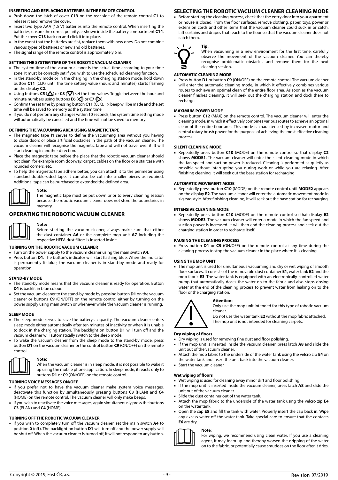#### **INSERTING AND REPLACING BATTERIES IN THE REMOTE CONTROL**

■ Push down the latch of cover **C13** on the rear side of the remote control **C1** to release it and remove the cover.

- Insert two type AAA (1.5 V) batteries into the remote control. When inserting the batteries, ensure the correct polarity as shown inside the battery compartment **C14**. Put the cover **C13** back on and click it into place.
- In the event that the batteries are flat, replace them with new ones. Do not combine various types of batteries or new and old batteries.
- The signal range of the remote control is approximately 6 m.

#### **SETTING THE SYSTEM TIME OF THE ROBOTIC VACUUM CLEANER**

- The system time of the vacuum cleaner is the actual time according to your time zone. It must be correctly set if you wish to use the scheduled cleaning function.
- In the stand-by mode or in the charging in the charging station mode, hold down button **C11** (CLK) until the time setting value (hours and minutes) starts flashing on the display **C2**.
- **•** Using buttons **C5** ( $\triangle$ ) or **C8** ( $\nabla$ ) set the time values. Toggle between the hour and minute numbers using buttons **E6** (<) or **C7** ( $\triangleright$ ).
- Confirm the set time by pressing button **C11** (CLK). 1× beep will be made and the set time will be saved to memory as the system time.
- If you do not perform any changes within 10 seconds, the system time setting mode will automatically be cancelled and the time will not be saved to memory.

#### **DEFINING THE VACUUMING AREA USING MAGNETIC TAPE**

- The magnetic tape **I1** serves to define the vacuuming area without you having to close doors or place artificial obstacles in the path of the vacuum cleaner. The vacuum cleaner will recognise the magnetic tape and will not travel over it. It will start cleaning in another direction.
- Place the magnetic tape before the place that the robotic vacuum cleaner should not clean, for example room doorway, carpet, cables on the floor or a staircase with rounded corners, etc.
- To help the magnetic tape adhere better, you can attach it to the perimeter using standard double-sided tape. It can also be cut into smaller pieces as required. Additional tape can be purchased to extended the defined area.

#### **Note**:

The magnetic tape must be put down prior to every cleaning session because the robotic vacuum cleaner does not store the boundaries in memory.

#### **OPERATING THE ROBOTIC VACUUM CLEANER**

**Note:** Before starting the vacuum cleaner, always make sure that either the dust container **A6** or the complete mop unit **A7** including the respective HEPA dust filters is inserted inside.

#### **TURNING ON THE ROBOTIC VACUUM CLEANER**

- Turn on the power supply to the vacuum cleaner using the main switch **A4**.
- Press button **D1**. The button's indicator will start flashing blue. When the indicator is permanently lit blue, the vacuum cleaner is in stand-by mode and ready for operation.

#### **STAND-BY MODE**

- The stand-by mode means that the vacuum cleaner is ready for operation. Button **D1** is backlit in blue colour.
- Set the vacuum cleaner to the stand-by mode by pressing button **D1** on the vacuum cleaner or buttons **C9** (ON/OFF) on the remote control either by turning on the power supply using main switch or whenever while the vacuum cleaner is running.

#### **SLEEP MODE**

- The sleep mode serves to save the battery's capacity. The vacuum cleaner enters sleep mode either automatically after ten minutes of inactivity or when it is unable to dock in the charging station. The backlight on button **D1** will turn off and the vacuum cleaner will automatically switch to the sleep mode.
- To wake the vacuum cleaner from the sleep mode to the stand-by mode, press button **D1** on the vacuum cleaner or the control button **C9** (ON/OFF) on the remote control.



**Note:** When the vacuum cleaner is in sleep mode, it is not possible to wake it up using the mobile phone application. In sleep mode, it reacts only to buttons **D1** or **C9** (ON/OFF) on the remote control.

#### **TURNING VOICE MESSAGES ON/OFF**

- If you prefer not to have the vacuum cleaner make system voice messages, deactivate this function by simultaneously pressing buttons **C3** (PLAN) and **C4** (HOME) on the remote control. The vacuum cleaner will only make beeps.
- If you wish to reactivate the voice messages, again simultaneously press the buttons **C3** (PLAN) and **C4** (HOME).

#### **TURNING OFF THE ROBOTIC VACUUM CLEANER**

■ If you wish to completely turn off the vacuum cleaner, set the main switch **A4** to position **0** (off). The backlight on button **D1** will turn off and the power supply will be shut off. When the vacuum cleaner is turned off, it will not respond to any button.

#### **SELECTING THE ROBOTIC VACUUM CLEANER CLEANING MODE**

Before starting the cleaning process, check that the entry door into your apartment or house is closed. From the floor surfaces, remove clothing, paper, toys, power or extension cords and other items that the vacuum cleaner could suck in or catch. Lift curtains and drapes that reach to the floor so that the vacuum cleaner does not catch them.

#### **Tip:**

Ξ

When vacuuming in a new environment for the first time, carefully observe the movement of the vacuum cleaner. You can thereby recognise problematic obstacles and remove them for the next cleaning session.

#### **AUTOMATIC CLEANING MODE**

Press button **D1** or button **C9** (ON/OFF) on the remote control. The vacuum cleaner will enter the automatic cleaning mode, in which it effectively combines various routes to achieve an optimal clean of the entire floor area. As soon as the vacuum cleaner finishes cleaning, it will seek out the charging station and dock there to recharge.

#### **MAXIMUM POWER MODE**

■ Press button **C12** (MAX) on the remote control. The vacuum cleaner will enter the cleaning mode, in which it effectively combines various routes to achieve an optimal clean of the entire floor area. This mode is characterised by increased motor and central rotary brush power for the purpose of achieving the most effective cleaning process.

#### **SILENT CLEANING MODE**

Repeatedly press button C10 (MODE) on the remote control so that display C2 shows **MODE1**. The vacuum cleaner will enter the silent cleaning mode in which the fan speed and suction power is reduced. Cleaning is performed as quietly as possible without interrupting you during work or while you are relaxing. After finishing cleaning, it will seek out the base station for recharging.

#### **AUTOMATIC MOVEMENT MODE**

■ Repeatedly press button **C10** (MODE) on the remote control until **MODE2** appears on the display **E2**. The vacuum cleaner will enter the automatic movement mode in zig-zag style. After finishing cleaning, it will seek out the base station for recharging.

#### **INTENSIVE CLEANING MODE**

■ Repeatedly press button **C10** (MODE) on the remote control so that display **E2**  shows **MODE3**. The vacuum cleaner will enter a mode in which the fan speed and suction power is increased. It will then end the cleaning process and seek out the charging station in order to recharge itself.

#### **PAUSING THE CLEANING PROCESS**

■ Press button **D1** or **C9** (ON/OFF) on the remote control at any time during the cleaning process to stop the vacuum cleaner in the place where it is cleaning.

#### **USING THE MOP UNIT**

■ The mop unit is used for simultaneous vacuuming and dry or wet wiping of smooth floor surfaces. It consists of the removable dust container **E1**, water tank **E2** and the mop fabric **E3**. The water tank is equipped with an electronically-controlled water pump that automatically doses the water on to the fabric and also stops dosing water at the end of the cleaning process to prevent water from leaking on to the floor or the charging station.

#### **Attention:**

Only use the mop unit intended for this type of robotic vacuum cleaner.

Do not use the water tank **E2** without the mop fabric attached. The mop unit is not intended for cleaning carpets.

### $\bullet$ **Dry wiping of floors**

- Dry wiping is used for removing fine dust and floor polishing.
- If the mop unit is inserted inside the vacuum cleaner, press latch **A8** and slide the unit out of the vacuum cleaner.
- Attach the mop fabric to the underside of the water tank using the velcro zip **E4** on the water tank and insert the unit back into the vacuum cleaner.
- Start the vacuum cleaner.

#### **Wet wiping of floors**

- Wet wiping is used for cleaning away minor dirt and floor polishing
- If the mop unit is inserted inside the vacuum cleaner, press latch **A8** and slide the unit out of the vacuum cleaner.
- Slide the dust container out of the water tank.
- Attach the mop fabric to the underside of the water tank using the velcro zip **E4** on the water tank.
- Open the cap **E5** and fill the tank with water. Properly insert the cap back in. Wipe any excess water off the water tank. Take special care to ensure that the contacts **E6** are dry.



For wiping, we recommend using clean water. If you use a cleaning agent, it may foam up and thereby worsen the dripping of the water on to the fabric, or potentially cause smudges on the floor after it dries.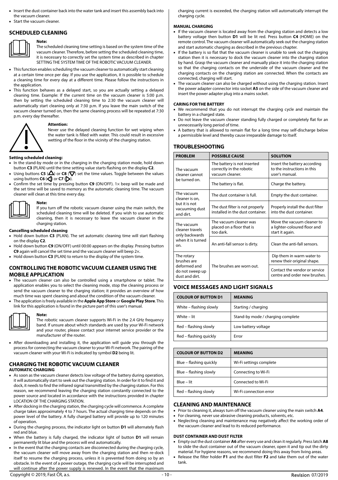- Insert the dust container back into the water tank and insert this assembly back into the vacuum cleaner.
- Start the vacuum cleaner.

#### **SCHEDULED CLEANING Note:**



The scheduled cleaning time setting is based on the system time of the vacuum cleaner. Therefore, before setting the scheduled cleaning time, it is necessary to correctly set the system time as described in chapter SETTING THE SYSTEM TIME OF THE ROBOTIC VACUUM CLEANER.

- This function enables scheduling the vacuum cleaner to automatically start cleaning at a certain time once per day. If you use the application, it is possible to schedule a cleaning time for every day at a different time. Please follow the instructions in the application.
- This function behaves as a delayed start, so you are actually setting a delayed cleaning time. Example: If the current time on the vacuum cleaner is 5:00 p.m. then by setting the scheduled cleaning time to 2:30 the vacuum cleaner will automatically start cleaning only at 7:30 p.m. If you leave the main switch of the vacuum cleaner turned on, then the same cleaning process will be repeated at 7:30 p.m. every day thereafter.

#### **Attention:**



Never use the delayed cleaning function for wet wiping when the water tank is filled with water. This could result in excessive wetting of the floor in the vicinity of the charging station.

# **Setting scheduled cleaning:**<br>In the stand-by mode or in

- In the stand-by mode or in the charging in the charging station mode, hold down button **C3** (PLAN) until the time setting value starts flashing on the display **C2**.
- **Using buttons <b>C5** ( $\Delta$ ) or **C8** ( $\nabla$ ) set the time values. Toggle between the values using buttons  $C6$  ( $\bigcirc$ ) or  $C7$  ( $\bigcirc$ ).
- Confirm the set time by pressing button **C9** (ON/OFF). 1× beep will be made and the set time will be saved to memory as the automatic cleaning time. The vacuum cleaner will clean at this time every day.



**Note:** If you turn off the robotic vacuum cleaner using the main switch, the scheduled cleaning time will be deleted. If you wish to use automatic cleaning, then it is necessary to leave the vacuum cleaner in the charging station.

#### **Cancelling scheduled cleaning**

- Hold down button **C3** (PLAN). The set automatic cleaning time will start flashing on the display **C2**.
- Hold down button **C9** (ON/OFF) until 00:00 appears on the display. Pressing button **C9** again will cancel the set time and the vacuum cleaner will beep 2×.
- Hold down button **C3** (PLAN) to return to the display of the system time.

#### **CONTROLLING THE ROBOTIC VACUUM CLEANER USING THE MOBILE APPLICATION**

- The vacuum cleaner can also be controlled using a smartphone or tablet. The application enables you to select the cleaning mode, stop the cleaning process or send the vacuum cleaner to the charging station; it provides an overview of how much time was spent cleaning and about the condition of the vacuum cleaner.
- The application is freely available in the **Apple App Store** or **Google Play Store**. This link for this application is found in the picture part of this user's manual.



#### **Note:**

The robotic vacuum cleaner supports Wi-Fi in the 2.4 GHz frequency band. If unsure about which standards are used by your Wi-Fi network and your router, please contact your internet service provider or the manufacturer of the router.

■ After downloading and installing it, the application will guide you through the process for connecting the vacuum cleaner to your Wi-Fi network. The pairing of the vacuum cleaner with your Wi-Fi is indicated by symbol **D2** being lit.

### **CHARGING THE ROBOTIC VACUUM CLEANER**

#### **AUTOMATIC CHARGING**

- As soon as the vacuum cleaner detects low voltage of the battery during operation, it will automatically start to seek out the charging station. In order for it to find it and dock, it needs to find the infrared signal transmitted by the charging station. For this reason, we recommend leaving the charging station constantly connected to the power source and located in accordance with the instructions provided in chapter LOCATION OF THE CHARGING STATION.
- After docking in the charging station, the charging cycle will commence. A complete charge takes approximately 4 to 7 hours. The actual charging time depends on the power level of the battery. A fully charged battery will provide up to 120 minutes of operation.
- During the charging process, the indicator light on button **D1** will alternately flash red and blue.
- When the battery is fully charged, the indicator light of button **D1** will remain permanently lit blue and the process will end automatically.
- In the event that the charging contacts are disconnected during the charging cycle, the vacuum cleaner will move away from the charging station and then re-dock itself to resume the charging process, unless it is prevented from doing so by an obstacle. In the event of a power outage, the charging cycle will be interrupted and will continue after the power supply is renewed. In the event that the maximum

charging current is exceeded, the charging station will automatically interrupt the charging cycle.

#### **MANUAL CHARGING**

- If the vacuum cleaner is located away from the charging station and detects a low battery voltage then button **D1** will be lit red. Press button **C4** (HOME) on the remote control. The vacuum cleaner will automatically seek out the charging station and start automatic charging as described in the previous chapter.
- If the battery is so flat that the vacuum cleaner is unable to seek out the charging station then it is necessary to dock the vacuum cleaner into the charging station by hand. Grasp the vacuum cleaner and manually place it into the charging station so that the charging contacts on the underside of the vacuum cleaner and the charging contacts on the charging station are connected. When the contacts are connected, charging will start.
- The vacuum cleaner can also be charged without using the charging station. Insert the power adapter connector into socket **A5** on the side of the vacuum cleaner and insert the power adapter plug into a mains socket.

#### **CARING FOR THE BATTERY**

- We recommend that you do not interrupt the charging cycle and maintain the battery in a charged state.
- Do not leave the vacuum cleaner standing fully charged or completely flat for an unnecessarily long period of time.
- A battery that is allowed to remain flat for a long time may self-discharge below a permissible level and thereby cause irreparable damage to itself.

#### **TROUBLESHOOTING**

| <b>PROBLEM</b>                                                               | <b>POSSIBLE CAUSE</b>                                                      | <b>SOLUTION</b>                                                               |
|------------------------------------------------------------------------------|----------------------------------------------------------------------------|-------------------------------------------------------------------------------|
| The vacuum<br>cleaner cannot                                                 | The battery is not inserted<br>correctly in the robotic<br>vacuum cleaner. | Insert the battery according<br>to the instructions in this<br>user's manual. |
| be turned on.                                                                | The battery is flat.                                                       | Charge the battery.                                                           |
| The vacuum<br>cleaner is on,<br>but it is not<br>vacuuming dust<br>and dirt. | The dust container is full.                                                | Empty the dust container.                                                     |
|                                                                              | The dust filter is not properly<br>installed in the dust container.        | Properly install the dust filter<br>into the dust container.                  |
| The vacuum<br>cleaner travels<br>only backwards                              | The vacuum cleaner was<br>placed on a floor that is<br>too dark.           | Move the vacuum cleaner to<br>a lighter-coloured floor and<br>start it again. |
| when it is turned<br>on.                                                     | An anti-fall sensor is dirty.                                              | Clean the anti-fall sensors.                                                  |
| The rotary<br>brushes are                                                    |                                                                            | Dip them in warm water to<br>renew their original shape.                      |
| deformed and<br>do not sweep up<br>dust and dirt.                            | The brushes are worn out.                                                  | Contact the vendor or service<br>centre and order new brushes.                |

#### **VOICE MESSAGES AND LIGHT SIGNALS**

| <b>COLOUR OF BUTTON D1</b> | <b>MEANING</b>                    |
|----------------------------|-----------------------------------|
| White - flashing slowly    | Starting / charging               |
| White - lit                | Stand-by mode / charging complete |
| Red - flashing slowly      | Low battery voltage               |
| Red - flashing quickly     | Frror                             |

| <b>COLOUR OF BUTTON D2</b> | <b>MEANING</b>          |
|----------------------------|-------------------------|
| Blue - flashing quickly    | Wi-Fi settings complete |
| Blue - flashing slowly     | Connecting to Wi-Fi     |
| Blue - lit                 | Connected to Wi-Fi      |
| Red - flashing slowly      | Wi-Fi connection error  |

#### **CLEANING AND MAINTENANCE**

- Prior to cleaning it, always turn off the vacuum cleaner using the main switch **A4**.
- For cleaning, never use abrasive cleaning products, solvents, etc.
- Neglecting cleaning and maintenance may negatively affect the working order of the vacuum cleaner and lead to its reduced performance.

#### **DUST CONTAINER AND DUST FILTER**

- Empty out the dust container **A6** after every use and clean it regularly. Press latch **A8** to slide the dust container out of the vacuum cleaner, open it and tip out the dirty material. For hygiene reasons, we recommend doing this away from living areas.
- Release the filter holder **F1** and the dust filter **F2** and take them out of the water tank.